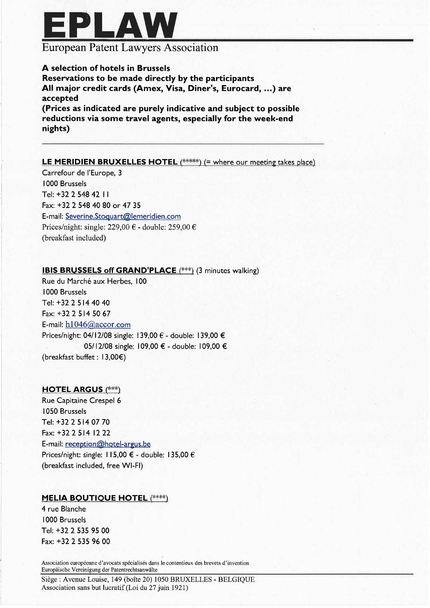

# European Patent Lawyers Association

### A selection of hotels in Brussels

Reservations to be made directly by the participants All major credit cards (Amex, Visa, Diner's, Eurocard, ...) are accepted

(Prices as indicated are purely indicative and subject to possible reductions via some travel agents, especially for the week-end nights)

#### **LE MERIDIEN BRUXELLES HOTEL**  $(****)$  (= where our meeting takes place)

Carrefour de l'Europe, 3 i 000 Brussels Tel: +32 2 548 42 I1 Fax: +3225484080 or 47 35 E-mail: Severine.Stoquart@lemeridien.com Prices/night: single: 229,00  $\epsilon$  - double: 259,00  $\epsilon$ (breakfast included)

### **IBIS BRUSSELS off GRAND'PLACE** (\*\*\*) (3 minutes walking)

Rue du Marché aux Herbes, 100 1000 Brussels Tel: +3225144040 Fax: +3225145067 E-mail:  $h1046@$ accor.com Prices/night: 04/12/08 single: 139,00 € - double: 139,00 € 05/12/08 single: 109,00 € - double: 109,00 € (breakfast buffet: 13,00€)

#### HOTEL ARGUS (\*\*\*)

Rue Capitaine Crespel 6 i 050 Brussels Tel: +3225140770 Fax: + 32 2 514 12 22 E-mail: reception@hotel-argus.be Prices/night: single: I 15,00 € - double: 135,00 € (breakfast included, free WI-FI)

#### MELIA BOUTIQUE HOTEL (\*\*\*\*)

4 rue Blanche i 000 Brussels Tel: +3225359500 Fax: + 32 2 535 96 00

Association européenne d'avocats spécialisés dans le contentieux des brevets d'invention Europäische Vereinigung der Patentrechtsanwälte

Siège: Avenue Louise, 149 (boîte 20) 1050 BRUXELLES - BELGIQUE Association sans but lucratif (Loi du 27 juin 1921)